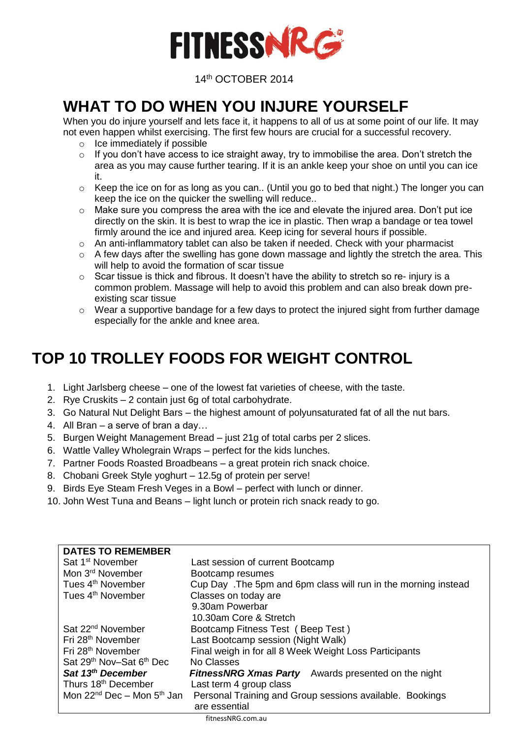

14th OCTOBER 2014

### **WHAT TO DO WHEN YOU INJURE YOURSELF**

When you do injure yourself and lets face it, it happens to all of us at some point of our life. It may not even happen whilst exercising. The first few hours are crucial for a successful recovery.

- o Ice immediately if possible
- $\circ$  If you don't have access to ice straight away, try to immobilise the area. Don't stretch the area as you may cause further tearing. If it is an ankle keep your shoe on until you can ice it.
- o Keep the ice on for as long as you can.. (Until you go to bed that night.) The longer you can keep the ice on the quicker the swelling will reduce..
- $\circ$  Make sure you compress the area with the ice and elevate the injured area. Don't put ice directly on the skin. It is best to wrap the ice in plastic. Then wrap a bandage or tea towel firmly around the ice and injured area. Keep icing for several hours if possible.
- $\circ$  An anti-inflammatory tablet can also be taken if needed. Check with your pharmacist
- o A few days after the swelling has gone down massage and lightly the stretch the area. This will help to avoid the formation of scar tissue
- o Scar tissue is thick and fibrous. It doesn't have the ability to stretch so re- injury is a common problem. Massage will help to avoid this problem and can also break down preexisting scar tissue
- $\circ$  Wear a supportive bandage for a few days to protect the injured sight from further damage especially for the ankle and knee area.

## **TOP 10 TROLLEY FOODS FOR WEIGHT CONTROL**

- 1. Light Jarlsberg cheese one of the lowest fat varieties of cheese, with the taste.
- 2. Rye Cruskits 2 contain just 6g of total carbohydrate.
- 3. Go Natural Nut Delight Bars the highest amount of polyunsaturated fat of all the nut bars.
- 4. All Bran a serve of bran a day…
- 5. Burgen Weight Management Bread just 21g of total carbs per 2 slices.
- 6. Wattle Valley Wholegrain Wraps perfect for the kids lunches.
- 7. Partner Foods Roasted Broadbeans a great protein rich snack choice.
- 8. Chobani Greek Style yoghurt 12.5g of protein per serve!
- 9. Birds Eye Steam Fresh Veges in a Bowl perfect with lunch or dinner.
- 10. John West Tuna and Beans light lunch or protein rich snack ready to go.

| <b>DATES TO REMEMBER</b>                         |                                                                 |
|--------------------------------------------------|-----------------------------------------------------------------|
| Sat 1 <sup>st</sup> November                     | Last session of current Bootcamp                                |
| Mon 3 <sup>rd</sup> November                     | Bootcamp resumes                                                |
| Tues 4 <sup>th</sup> November                    | Cup Day . The 5pm and 6pm class will run in the morning instead |
| Tues 4 <sup>th</sup> November                    | Classes on today are                                            |
|                                                  | 9.30am Powerbar                                                 |
|                                                  | 10.30am Core & Stretch                                          |
| Sat 22 <sup>nd</sup> November                    | Bootcamp Fitness Test (Beep Test)                               |
| Fri 28 <sup>th</sup> November                    | Last Bootcamp session (Night Walk)                              |
| Fri 28 <sup>th</sup> November                    | Final weigh in for all 8 Week Weight Loss Participants          |
| Sat 29 <sup>th</sup> Nov-Sat 6 <sup>th</sup> Dec | No Classes                                                      |
| Sat 13 <sup>th</sup> December                    | <b>FitnessNRG Xmas Party</b><br>Awards presented on the night   |
| Thurs 18 <sup>th</sup> December                  | Last term 4 group class                                         |
| Mon $22^{nd}$ Dec – Mon $5^{th}$ Jan             | Personal Training and Group sessions available. Bookings        |
|                                                  | are essential                                                   |
|                                                  |                                                                 |

fitnessNRG.com.au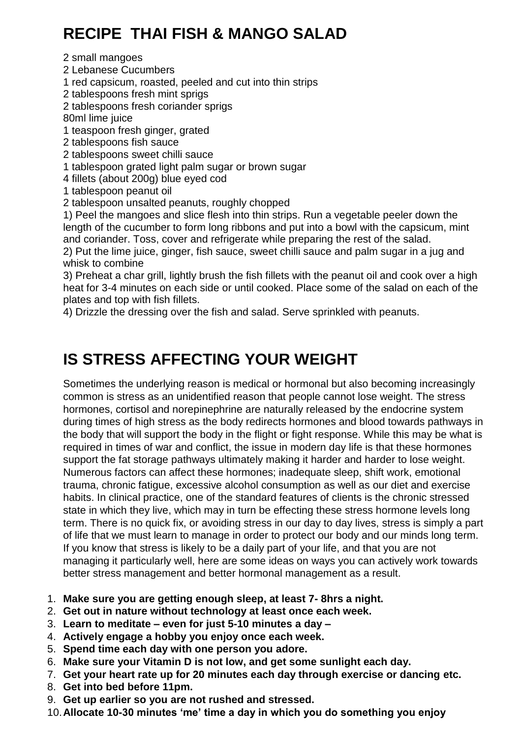# **RECIPE THAI FISH & MANGO SALAD**

2 small mangoes

2 Lebanese Cucumbers

1 red capsicum, roasted, peeled and cut into thin strips

2 tablespoons fresh mint sprigs

2 tablespoons fresh coriander sprigs

80ml lime juice

1 teaspoon fresh ginger, grated

2 tablespoons fish sauce

2 tablespoons sweet chilli sauce

1 tablespoon grated light palm sugar or brown sugar

4 fillets (about 200g) blue eyed cod

1 tablespoon peanut oil

2 tablespoon unsalted peanuts, roughly chopped

1) Peel the mangoes and slice flesh into thin strips. Run a vegetable peeler down the length of the cucumber to form long ribbons and put into a bowl with the capsicum, mint and coriander. Toss, cover and refrigerate while preparing the rest of the salad.

2) Put the lime juice, ginger, fish sauce, sweet chilli sauce and palm sugar in a jug and whisk to combine

3) Preheat a char grill, lightly brush the fish fillets with the peanut oil and cook over a high heat for 3-4 minutes on each side or until cooked. Place some of the salad on each of the plates and top with fish fillets.

4) Drizzle the dressing over the fish and salad. Serve sprinkled with peanuts.

### **IS STRESS AFFECTING YOUR WEIGHT**

Sometimes the underlying reason is medical or hormonal but also becoming increasingly common is stress as an unidentified reason that people cannot lose weight. The stress hormones, cortisol and norepinephrine are naturally released by the endocrine system during times of high stress as the body redirects hormones and blood towards pathways in the body that will support the body in the flight or fight response. While this may be what is required in times of war and conflict, the issue in modern day life is that these hormones support the fat storage pathways ultimately making it harder and harder to lose weight. Numerous factors can affect these hormones; inadequate sleep, shift work, emotional trauma, chronic fatigue, excessive alcohol consumption as well as our diet and exercise habits. In clinical practice, one of the standard features of clients is the chronic stressed state in which they live, which may in turn be effecting these stress hormone levels long term. There is no quick fix, or avoiding stress in our day to day lives, stress is simply a part of life that we must learn to manage in order to protect our body and our minds long term. If you know that stress is likely to be a daily part of your life, and that you are not managing it particularly well, here are some ideas on ways you can actively work towards better stress management and better hormonal management as a result.

- 1. **Make sure you are getting enough sleep, at least 7- 8hrs a night.**
- 2. **Get out in nature without technology at least once each week.**
- 3. **Learn to meditate – even for just 5-10 minutes a day –**
- 4. **Actively engage a hobby you enjoy once each week.**
- 5. **Spend time each day with one person you adore.**
- 6. **Make sure your Vitamin D is not low, and get some sunlight each day.**
- 7. **Get your heart rate up for 20 minutes each day through exercise or dancing etc.**
- 8. **Get into bed before 11pm.**
- 9. **Get up earlier so you are not rushed and stressed.**
- 10.**Allocate 10-30 minutes 'me' time a day in which you do something you enjoy**